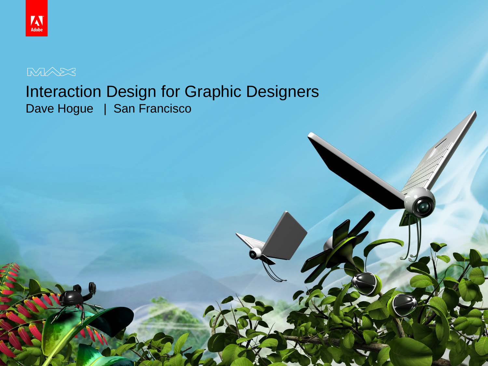© 2010 Adobe Systems Incorporated. All Rights Reserved. Adobe Confidential.

#### Interaction Design for Graphic Designers Dave Hogue | San Francisco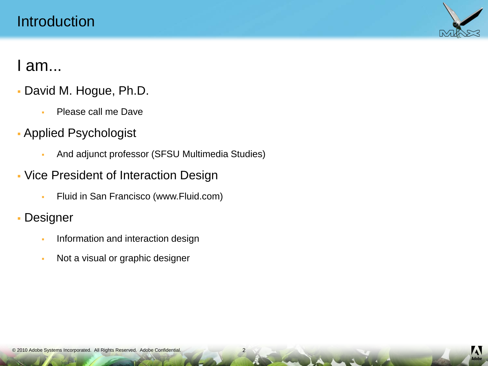

#### I am...

- David M. Hogue, Ph.D.
	- **Please call me Dave**
- Applied Psychologist
	- And adjunct professor (SFSU Multimedia Studies)
- Vice President of Interaction Design
	- Fluid in San Francisco (www.Fluid.com)
- Designer
	- **Information and interaction design**
	- Not a visual or graphic designer

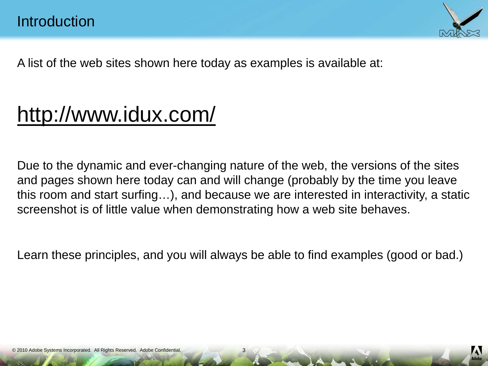

A list of the web sites shown here today as examples is available at:

# <http://www.idux.com/>

Due to the dynamic and ever-changing nature of the web, the versions of the sites and pages shown here today can and will change (probably by the time you leave this room and start surfing…), and because we are interested in interactivity, a static screenshot is of little value when demonstrating how a web site behaves.

Learn these principles, and you will always be able to find examples (good or bad.)

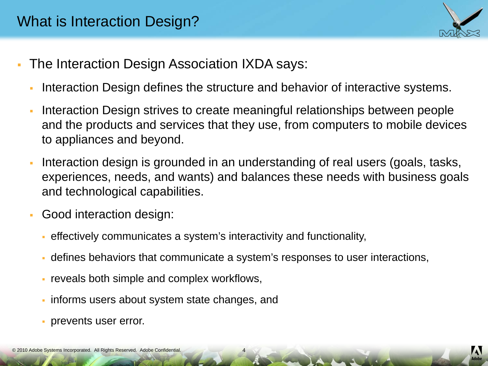

- The Interaction Design Association IXDA says:
	- Interaction Design defines the structure and behavior of interactive systems.
	- Interaction Design strives to create meaningful relationships between people and the products and services that they use, from computers to mobile devices to appliances and beyond.
	- Interaction design is grounded in an understanding of real users (goals, tasks, experiences, needs, and wants) and balances these needs with business goals and technological capabilities.
	- Good interaction design:
		- effectively communicates a system's interactivity and functionality,
		- defines behaviors that communicate a system's responses to user interactions,

- reveals both simple and complex workflows,
- informs users about system state changes, and
- prevents user error.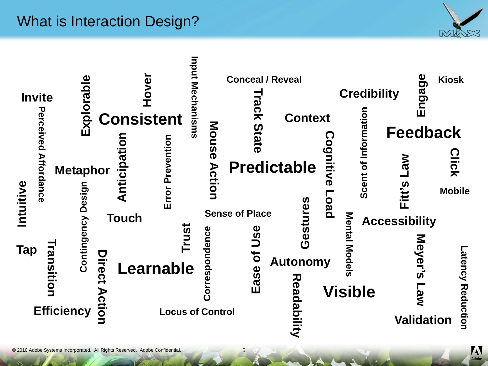### What is Interaction Design?



| <b>Invite</b>                                                                            | Explorable                                                  | Hovel<br><b>Consistent</b>              | nput Mechanisms                                      | Mouse                  | <b>Conceal / Reveal</b><br>rack<br>State  | <b>Context</b>                                                     |                                                        | <b>Credibility</b>                                          | မ္တ<br>nga<br>Ш<br><b>Feedback</b>                                                 | <b>Kiosk</b>                                         |
|------------------------------------------------------------------------------------------|-------------------------------------------------------------|-----------------------------------------|------------------------------------------------------|------------------------|-------------------------------------------|--------------------------------------------------------------------|--------------------------------------------------------|-------------------------------------------------------------|------------------------------------------------------------------------------------|------------------------------------------------------|
| <b>Perceived Affordance</b><br>Intuitive<br><b>Tap</b><br>ransition<br><b>Efficiency</b> | <b>Metaphor</b><br>Design<br>Contingency<br>Direct<br>ction | Anticipati<br><b>Touch</b><br>Learnable | Error Prevention<br>Trust<br><b>Locus of Control</b> | Action<br>rrespondence | <b>Sense of Place</b><br>Use<br>ð<br>Ease | <b>Predictable</b><br>estures<br><b>Autonomy</b><br>观<br>epea<br>ミ | ognitiv<br>$\overline{\mathbf{D}}$<br>peo <sub>T</sub> | Scent of Information<br>Mental Model<br>ഗ<br><b>Visible</b> | <b>NB</b><br>Fitt's<br><b>Accessibility</b><br>Meyer's<br>Law<br><b>Validation</b> | <b>Click</b><br><b>Mobile</b><br>atency<br>Reduction |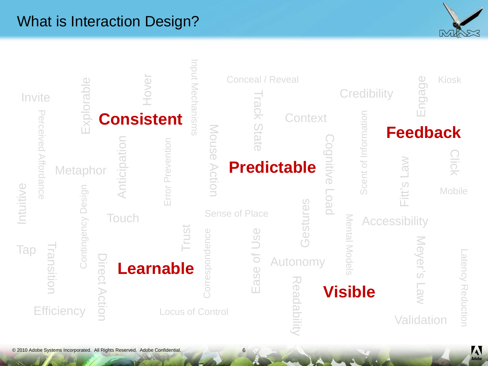#### What is Interaction Design?





6

 $\sim 4/4$ 

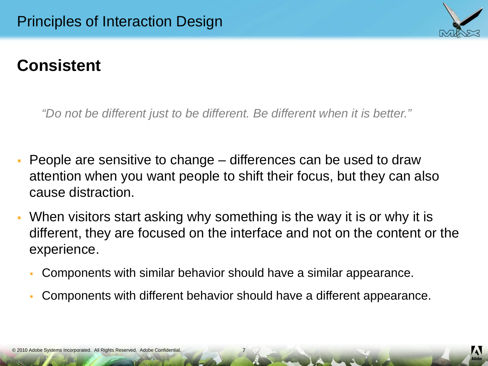

*"Do not be different just to be different. Be different when it is better."*

- People are sensitive to change differences can be used to draw attention when you want people to shift their focus, but they can also cause distraction.
- When visitors start asking why something is the way it is or why it is different, they are focused on the interface and not on the content or the experience.
	- Components with similar behavior should have a similar appearance.
	- Components with different behavior should have a different appearance.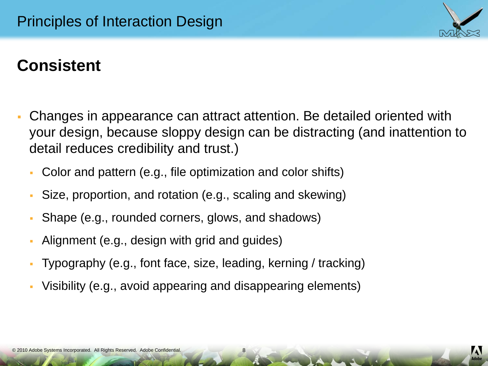

 Changes in appearance can attract attention. Be detailed oriented with your design, because sloppy design can be distracting (and inattention to detail reduces credibility and trust.)

- Color and pattern (e.g., file optimization and color shifts)
- Size, proportion, and rotation (e.g., scaling and skewing)
- Shape (e.g., rounded corners, glows, and shadows)
- Alignment (e.g., design with grid and guides)
- Typography (e.g., font face, size, leading, kerning / tracking)
- Visibility (e.g., avoid appearing and disappearing elements)

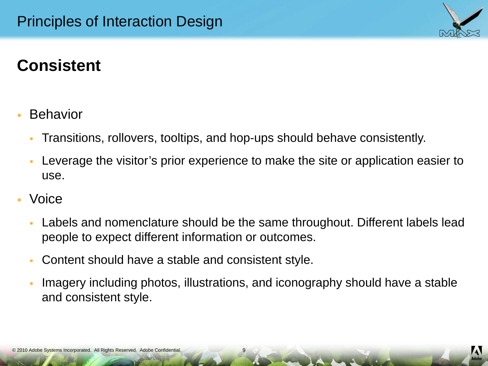

- **Behavior** 
	- Transitions, rollovers, tooltips, and hop-ups should behave consistently.
	- Leverage the visitor's prior experience to make the site or application easier to use.
- Voice
	- Labels and nomenclature should be the same throughout. Different labels lead people to expect different information or outcomes.
	- Content should have a stable and consistent style.
	- Imagery including photos, illustrations, and iconography should have a stable and consistent style.

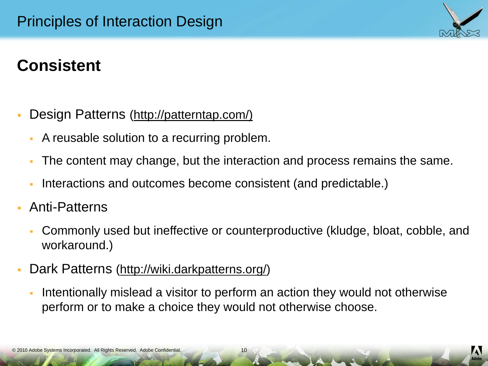- Design Patterns [\(http://patterntap.com/](http://patterntap.com/))
	- A reusable solution to a recurring problem.
	- The content may change, but the interaction and process remains the same.
	- Interactions and outcomes become consistent (and predictable.)
- Anti-Patterns
	- Commonly used but ineffective or counterproductive (kludge, bloat, cobble, and workaround.)
- Dark Patterns (<http://wiki.darkpatterns.org/>)
	- Intentionally mislead a visitor to perform an action they would not otherwise perform or to make a choice they would not otherwise choose.

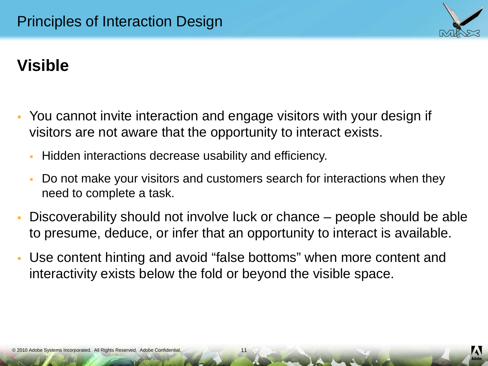

- You cannot invite interaction and engage visitors with your design if visitors are not aware that the opportunity to interact exists.
	- Hidden interactions decrease usability and efficiency.
	- Do not make your visitors and customers search for interactions when they need to complete a task.
- Discoverability should not involve luck or chance people should be able to presume, deduce, or infer that an opportunity to interact is available.

11

 Use content hinting and avoid "false bottoms" when more content and interactivity exists below the fold or beyond the visible space.

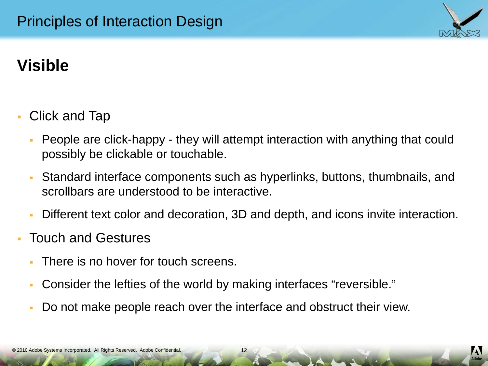

- Click and Tap
	- People are click-happy they will attempt interaction with anything that could possibly be clickable or touchable.
	- Standard interface components such as hyperlinks, buttons, thumbnails, and scrollbars are understood to be interactive.
	- Different text color and decoration, 3D and depth, and icons invite interaction.
- Touch and Gestures
	- There is no hover for touch screens.
	- Consider the lefties of the world by making interfaces "reversible."
	- Do not make people reach over the interface and obstruct their view.

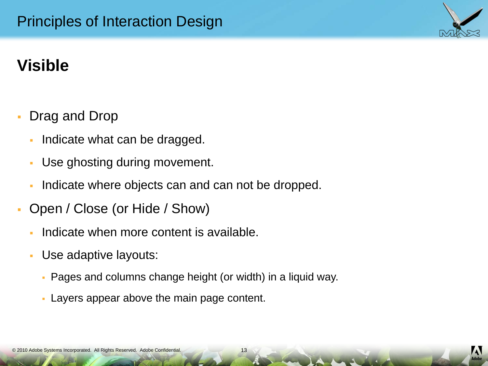- Drag and Drop
	- Indicate what can be dragged.
	- Use ghosting during movement.
	- Indicate where objects can and can not be dropped.
- Open / Close (or Hide / Show)
	- Indicate when more content is available.
	- Use adaptive layouts:
		- Pages and columns change height (or width) in a liquid way.
		- Layers appear above the main page content.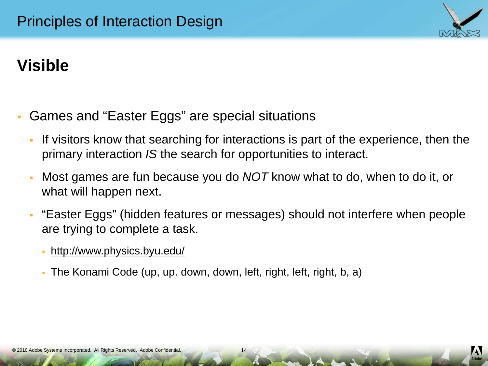

- Games and "Easter Eggs" are special situations
	- If visitors know that searching for interactions is part of the experience, then the primary interaction *IS* the search for opportunities to interact.
	- Most games are fun because you do *NOT* know what to do, when to do it, or what will happen next.
	- "Easter Eggs" (hidden features or messages) should not interfere when people are trying to complete a task.

- <http://www.physics.byu.edu/>
- The Konami Code (up, up. down, down, left, right, left, right, b, a)

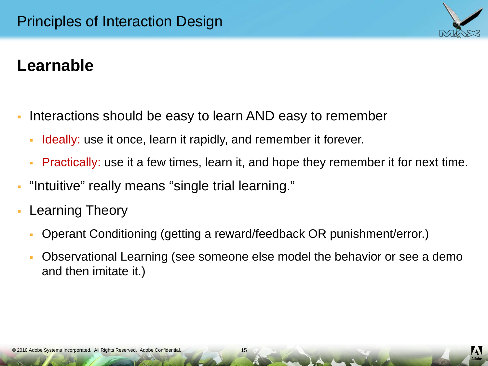

# **Learnable**

- Interactions should be easy to learn AND easy to remember
	- Ideally: use it once, learn it rapidly, and remember it forever.
	- **Practically:** use it a few times, learn it, and hope they remember it for next time.
- "Intuitive" really means "single trial learning."
- Learning Theory
	- Operant Conditioning (getting a reward/feedback OR punishment/error.)
	- Observational Learning (see someone else model the behavior or see a demo and then imitate it.)

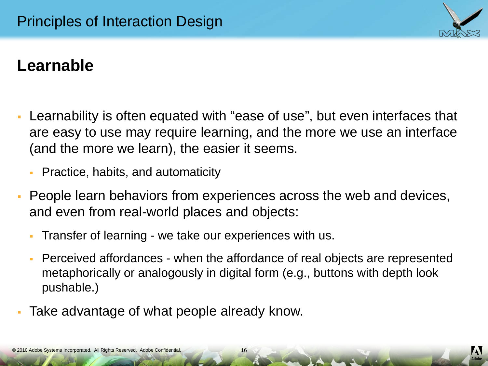

# **Learnable**

- Learnability is often equated with "ease of use", but even interfaces that are easy to use may require learning, and the more we use an interface (and the more we learn), the easier it seems.
	- Practice, habits, and automaticity
- People learn behaviors from experiences across the web and devices, and even from real-world places and objects:
	- Transfer of learning we take our experiences with us.
	- Perceived affordances when the affordance of real objects are represented metaphorically or analogously in digital form (e.g., buttons with depth look pushable.)
- Take advantage of what people already know.

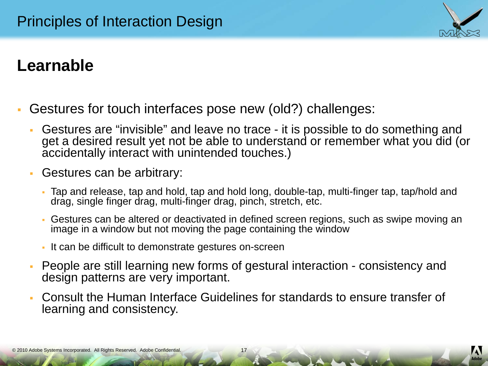

# **Learnable**

- Gestures for touch interfaces pose new (old?) challenges:
	- Gestures are "invisible" and leave no trace it is possible to do something and get a desired result yet not be able to understand or remember what you did (or accidentally interact with unintended touches.)
	- Gestures can be arbitrary:
		- Tap and release, tap and hold, tap and hold long, double-tap, multi-finger tap, tap/hold and drag, single finger drag, multi-finger drag, pinch, stretch, etc.
		- Gestures can be altered or deactivated in defined screen regions, such as swipe moving an image in a window but not moving the page containing the window
		- It can be difficult to demonstrate gestures on-screen
	- People are still learning new forms of gestural interaction consistency and design patterns are very important.
	- Consult the Human Interface Guidelines for standards to ensure transfer of learning and consistency.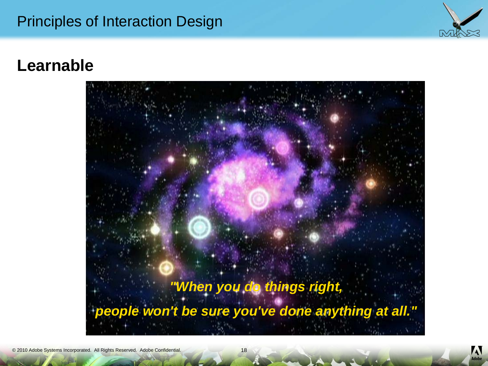#### Principles of Interaction Design



#### **Learnable**





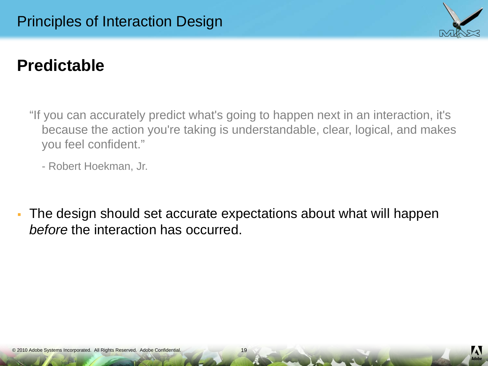

"If you can accurately predict what's going to happen next in an interaction, it's because the action you're taking is understandable, clear, logical, and makes you feel confident."

- Robert Hoekman, Jr.

 The design should set accurate expectations about what will happen *before* the interaction has occurred.

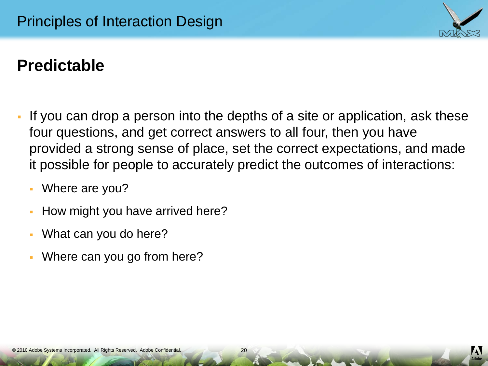

- If you can drop a person into the depths of a site or application, ask these four questions, and get correct answers to all four, then you have provided a strong sense of place, set the correct expectations, and made it possible for people to accurately predict the outcomes of interactions:
	- Where are you?
	- How might you have arrived here?
	- What can you do here?
	- Where can you go from here?



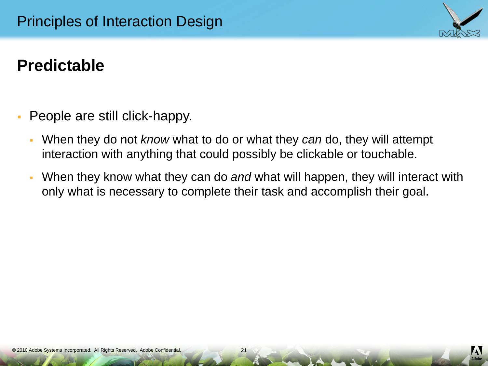

- People are still click-happy.
	- When they do not *know* what to do or what they *can* do, they will attempt interaction with anything that could possibly be clickable or touchable.
	- When they know what they can do *and* what will happen, they will interact with only what is necessary to complete their task and accomplish their goal.

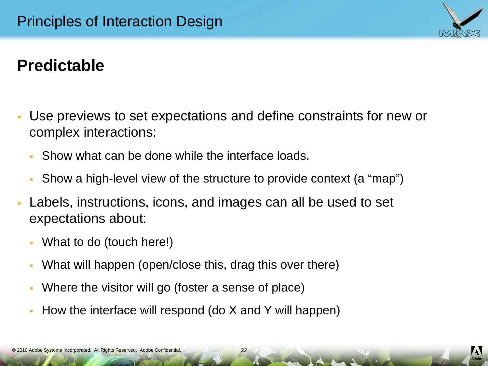

- Use previews to set expectations and define constraints for new or complex interactions:
	- Show what can be done while the interface loads.
	- Show a high-level view of the structure to provide context (a "map")
- Labels, instructions, icons, and images can all be used to set expectations about:
	- What to do (touch here!)
	- What will happen (open/close this, drag this over there)
	- Where the visitor will go (foster a sense of place)
	- How the interface will respond (do  $X$  and  $Y$  will happen)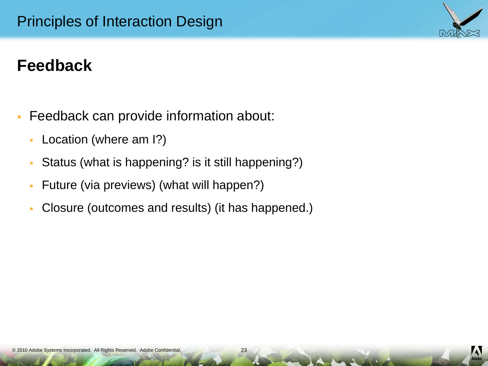- Feedback can provide information about:
	- Location (where am I?)
	- Status (what is happening? is it still happening?)
	- Future (via previews) (what will happen?)
	- Closure (outcomes and results) (it has happened.)



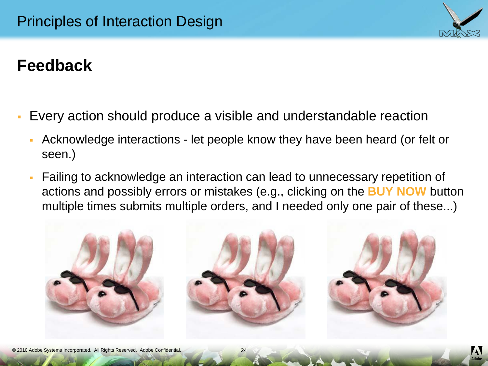

- Every action should produce a visible and understandable reaction
	- Acknowledge interactions let people know they have been heard (or felt or seen.)
	- Failing to acknowledge an interaction can lead to unnecessary repetition of actions and possibly errors or mistakes (e.g., clicking on the **BUY NOW** button multiple times submits multiple orders, and I needed only one pair of these...)



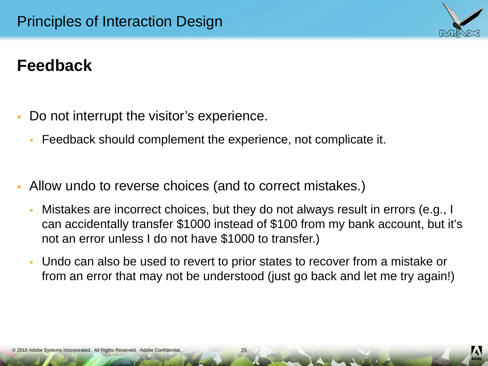

- Do not interrupt the visitor's experience.
	- Feedback should complement the experience, not complicate it.
- Allow undo to reverse choices (and to correct mistakes.)
	- Mistakes are incorrect choices, but they do not always result in errors (e.g., I can accidentally transfer \$1000 instead of \$100 from my bank account, but it's not an error unless I do not have \$1000 to transfer.)
	- Undo can also be used to revert to prior states to recover from a mistake or from an error that may not be understood (just go back and let me try again!)

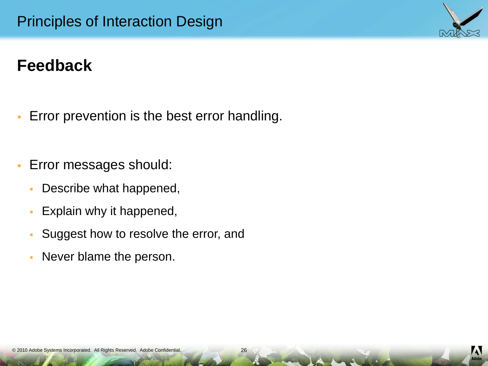- Error prevention is the best error handling.
- **Error messages should:** 
	- Describe what happened,
	- **Explain why it happened,**
	- **Suggest how to resolve the error, and**
	- Never blame the person.

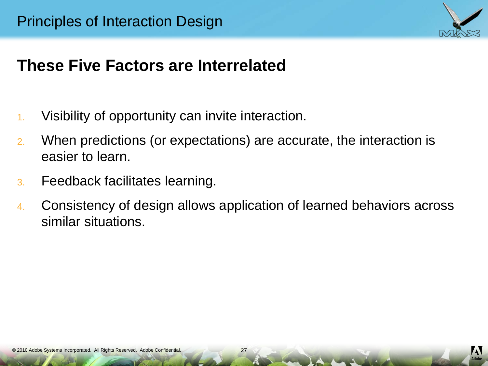

### **These Five Factors are Interrelated**

- 1. Visibility of opportunity can invite interaction.
- 2. When predictions (or expectations) are accurate, the interaction is easier to learn.
- 3. Feedback facilitates learning.
- 4. Consistency of design allows application of learned behaviors across similar situations.

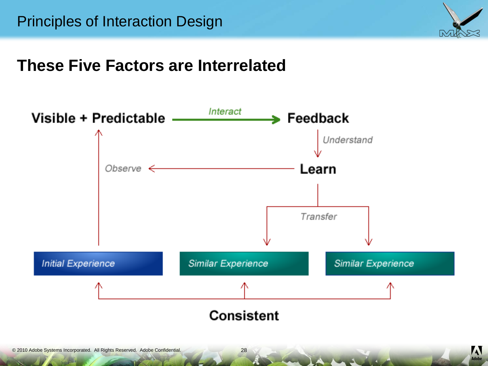

### **These Five Factors are Interrelated**



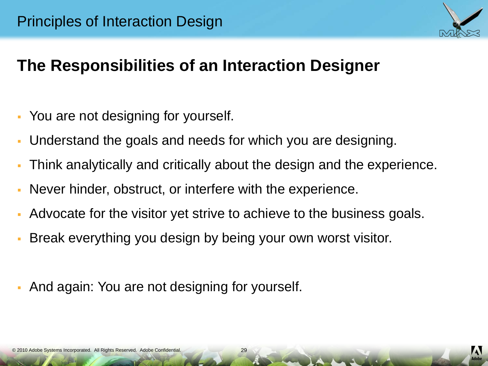

# **The Responsibilities of an Interaction Designer**

- You are not designing for yourself.
- Understand the goals and needs for which you are designing.
- Think analytically and critically about the design and the experience.
- Never hinder, obstruct, or interfere with the experience.
- Advocate for the visitor yet strive to achieve to the business goals.
- Break everything you design by being your own worst visitor.
- And again: You are not designing for yourself.

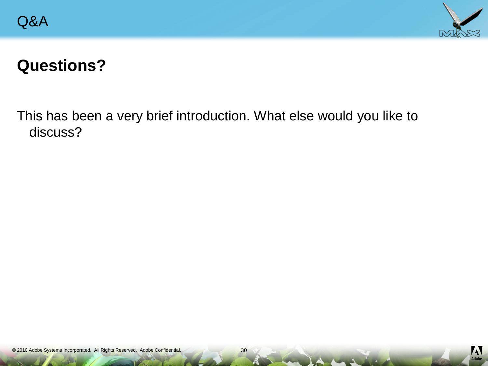

### **Questions?**

This has been a very brief introduction. What else would you like to discuss?



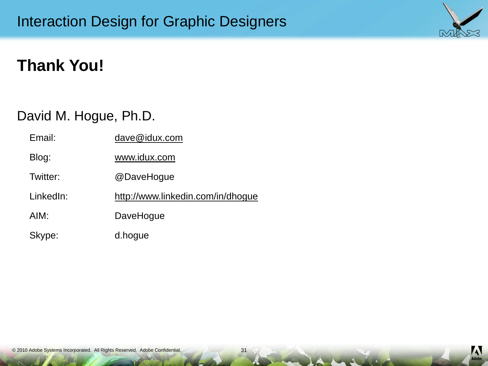# **Thank You!**

#### David M. Hogue, Ph.D.

| Email:    | dave@idux.com                     |
|-----------|-----------------------------------|
| Blog:     | www.idux.com                      |
| Twitter:  | @DaveHogue                        |
| LinkedIn: | http://www.linkedin.com/in/dhogue |
| AIM:      | DaveHogue                         |
| Skype:    | d.hogue                           |